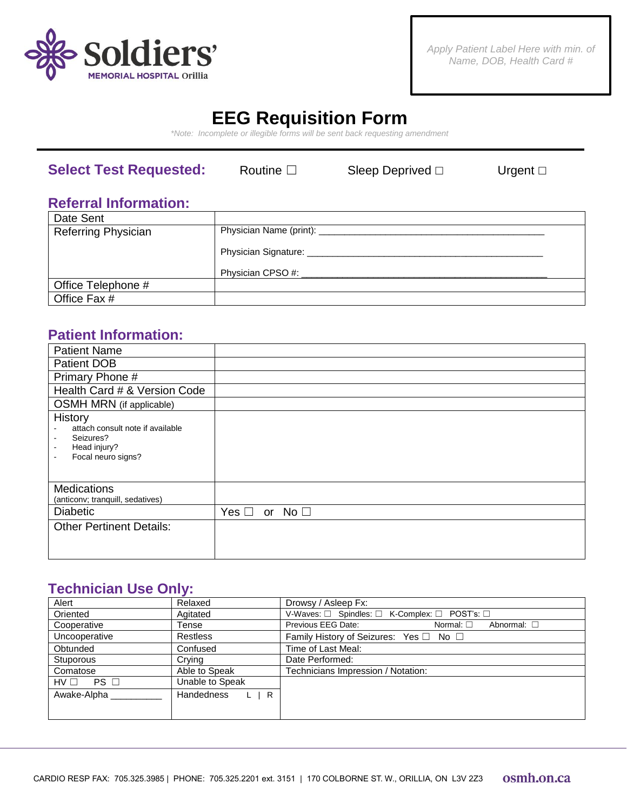

# **EEG Requisition Form**

*\*Note: Incomplete or illegible forms will be sent back requesting amendment*

### **Select Test Requested:** Routine □ Sleep Deprived □ Urgent □

### **Referral Information:**

| Date Sent                  |                                     |  |
|----------------------------|-------------------------------------|--|
| <b>Referring Physician</b> | Physician Name (print): ___________ |  |
|                            | Physician Signature:                |  |
|                            | Physician CPSO #:                   |  |
| Office Telephone #         |                                     |  |
| Office Fax #               |                                     |  |

### **Patient Information:**

| <b>Patient Name</b>                                                                                                                                         |                                     |
|-------------------------------------------------------------------------------------------------------------------------------------------------------------|-------------------------------------|
| <b>Patient DOB</b>                                                                                                                                          |                                     |
| Primary Phone #                                                                                                                                             |                                     |
| Health Card # & Version Code                                                                                                                                |                                     |
| OSMH MRN (if applicable)                                                                                                                                    |                                     |
| <b>History</b><br>attach consult note if available<br>Seizures?<br>$\blacksquare$<br>Head injury?<br>$\blacksquare$<br>Focal neuro signs?<br>$\blacksquare$ |                                     |
| <b>Medications</b>                                                                                                                                          |                                     |
| (anticonv; tranquill, sedatives)                                                                                                                            |                                     |
| <b>Diabetic</b>                                                                                                                                             | Yes $\Box$<br>No <sub>1</sub><br>or |
| <b>Other Pertinent Details:</b>                                                                                                                             |                                     |

### **Technician Use Only:**

| Alert               | Relaxed                  | Drowsy / Asleep Fx:                                            |
|---------------------|--------------------------|----------------------------------------------------------------|
| Oriented            | Agitated                 | V-Waves: □ Spindles: □ K-Complex: □ POST's: □                  |
| Cooperative         | Tense                    | Previous EEG Date:<br>Normal: $\square$<br>Abnormal: $\square$ |
| Uncooperative       | <b>Restless</b>          | Family History of Seizures: Yes □ No □                         |
| Obtunded            | Confused                 | Time of Last Meal:                                             |
| <b>Stuporous</b>    | Crying                   | Date Performed:                                                |
| Comatose            | Able to Speak            | Technicians Impression / Notation:                             |
| $HV \Box$ PS $\Box$ | Unable to Speak          |                                                                |
| Awake-Alpha         | Handedness<br>$L \mid R$ |                                                                |
|                     |                          |                                                                |
|                     |                          |                                                                |